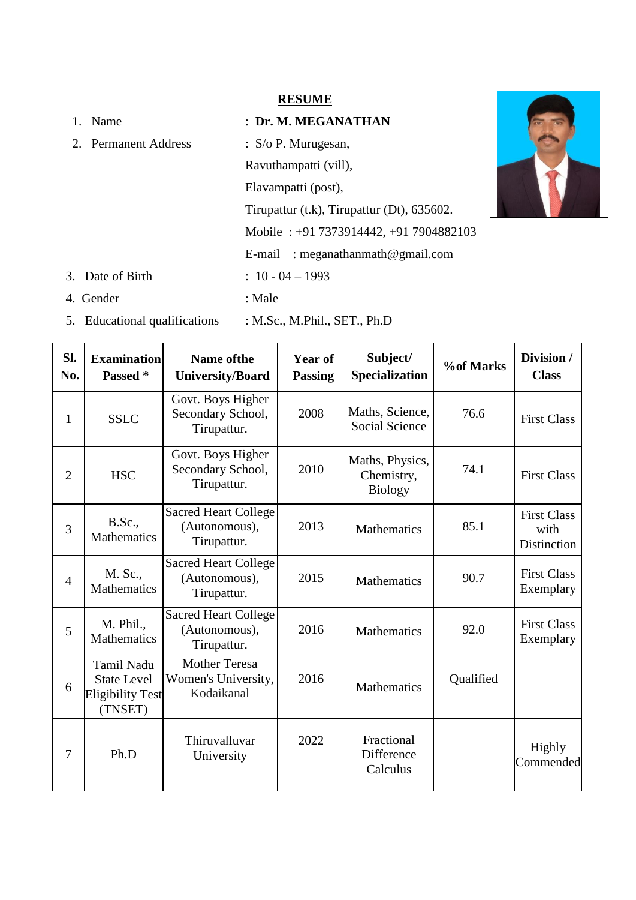#### **RESUME**

- 1. Name : **Dr. M. MEGANATHAN** 2. Permanent Address : S/o P. Murugesan, Ravuthampatti (vill), Elavampatti (post), Tirupattur (t.k), Tirupattur (Dt), 635602. Mobile : +91 7373914442, +91 7904882103 E-mail : meganathanmath@gmail.com 3. Date of Birth : 10 - 04 – 1993
- 4. Gender : Male
- 5. Educational qualifications : M.Sc., M.Phil., SET., Ph.D

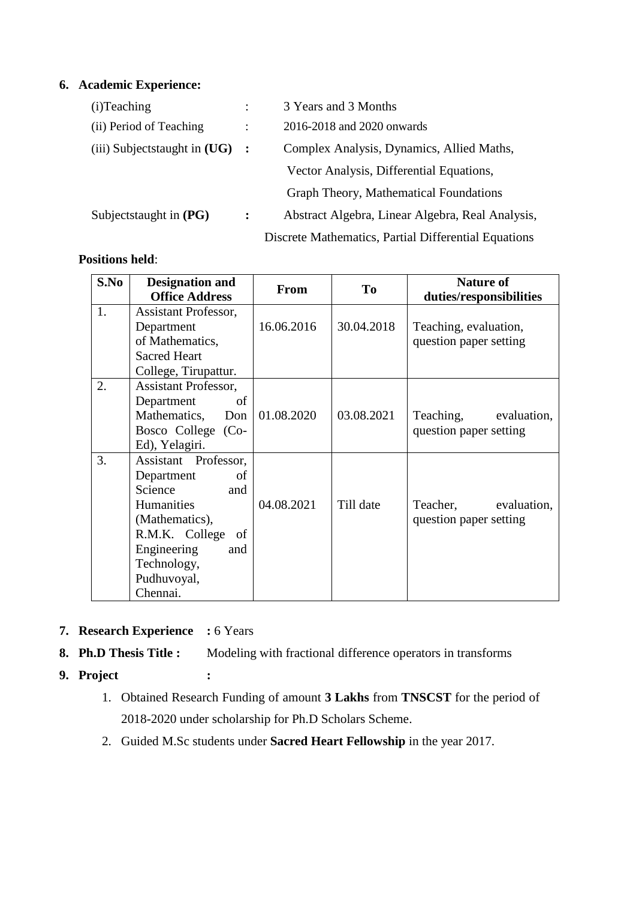# **6. Academic Experience:**

| (i) Teaching                      |         | 3 Years and 3 Months                                 |
|-----------------------------------|---------|------------------------------------------------------|
| (ii) Period of Teaching           |         | 2016-2018 and 2020 onwards                           |
| (iii) Subjects taught in $(UG)$ : |         | Complex Analysis, Dynamics, Allied Maths,            |
|                                   |         | Vector Analysis, Differential Equations,             |
|                                   |         | Graph Theory, Mathematical Foundations               |
| Subjectstaught in $(PG)$          | $\cdot$ | Abstract Algebra, Linear Algebra, Real Analysis,     |
|                                   |         | Discrete Mathematics, Partial Differential Equations |

# **Positions held**:

| S.No | <b>Designation and</b><br><b>Office Address</b>                                                                                                                                    | From       | T <sub>0</sub> | <b>Nature of</b><br>duties/responsibilities     |  |
|------|------------------------------------------------------------------------------------------------------------------------------------------------------------------------------------|------------|----------------|-------------------------------------------------|--|
| 1.   | <b>Assistant Professor,</b><br>Department<br>of Mathematics,<br><b>Sacred Heart</b><br>College, Tirupattur.                                                                        | 16.06.2016 | 30.04.2018     | Teaching, evaluation,<br>question paper setting |  |
| 2.   | <b>Assistant Professor,</b><br>Department<br>of<br>Mathematics, Don<br>Bosco College (Co-<br>Ed), Yelagiri.                                                                        | 01.08.2020 | 03.08.2021     | Teaching, evaluation,<br>question paper setting |  |
| 3.   | Assistant Professor,<br>Department<br>of<br>Science<br>and<br>Humanities<br>(Mathematics),<br>R.M.K. College<br>of<br>Engineering<br>and<br>Technology,<br>Pudhuvoyal,<br>Chennai. | 04.08.2021 | Till date      | Teacher, evaluation,<br>question paper setting  |  |

- **7. Research Experience :** 6 Years
- **8. Ph.D Thesis Title :** Modeling with fractional difference operators in transforms
- **9. Project :**
	- 1. Obtained Research Funding of amount **3 Lakhs** from **TNSCST** for the period of 2018-2020 under scholarship for Ph.D Scholars Scheme.
	- 2. Guided M.Sc students under **Sacred Heart Fellowship** in the year 2017.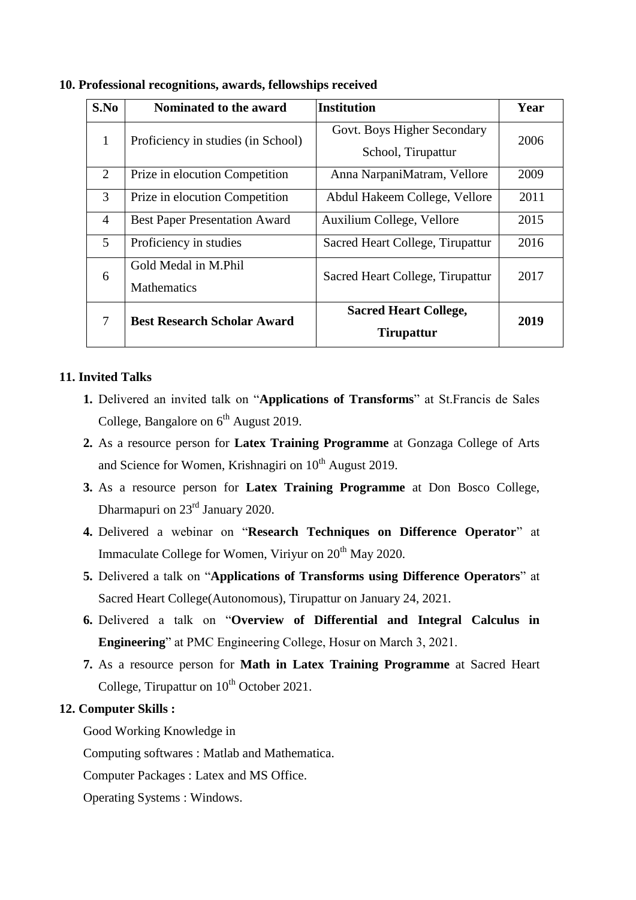| S.No           | Nominated to the award                                            | <b>Institution</b>                                | Year |
|----------------|-------------------------------------------------------------------|---------------------------------------------------|------|
| 1              | Proficiency in studies (in School)                                | Govt. Boys Higher Secondary<br>School, Tirupattur | 2006 |
| $\overline{2}$ | Prize in elocution Competition                                    | Anna NarpaniMatram, Vellore                       | 2009 |
| 3              | Prize in elocution Competition                                    | Abdul Hakeem College, Vellore                     | 2011 |
| $\overline{4}$ | <b>Best Paper Presentation Award</b><br>Auxilium College, Vellore |                                                   | 2015 |
| $\mathfrak{H}$ | Proficiency in studies                                            | Sacred Heart College, Tirupattur                  | 2016 |
| 6              | Gold Medal in M.Phil<br><b>Mathematics</b>                        | Sacred Heart College, Tirupattur                  | 2017 |
| 7              | <b>Best Research Scholar Award</b>                                | <b>Sacred Heart College,</b><br><b>Tirupattur</b> | 2019 |

**10. Professional recognitions, awards, fellowships received**

# **11. Invited Talks**

- **1.** Delivered an invited talk on "**Applications of Transforms**" at St.Francis de Sales College, Bangalore on  $6<sup>th</sup>$  August 2019.
- **2.** As a resource person for **Latex Training Programme** at Gonzaga College of Arts and Science for Women, Krishnagiri on  $10<sup>th</sup>$  August 2019.
- **3.** As a resource person for **Latex Training Programme** at Don Bosco College, Dharmapuri on 23<sup>rd</sup> January 2020.
- **4.** Delivered a webinar on "**Research Techniques on Difference Operator**" at Immaculate College for Women, Viriyur on  $20<sup>th</sup>$  May 2020.
- **5.** Delivered a talk on "**Applications of Transforms using Difference Operators**" at Sacred Heart College(Autonomous), Tirupattur on January 24, 2021.
- **6.** Delivered a talk on "**Overview of Differential and Integral Calculus in Engineering**" at PMC Engineering College, Hosur on March 3, 2021.
- **7.** As a resource person for **Math in Latex Training Programme** at Sacred Heart College, Tirupattur on  $10^{th}$  October 2021.

## **12. Computer Skills :**

Good Working Knowledge in

Computing softwares : Matlab and Mathematica.

Computer Packages : Latex and MS Office.

Operating Systems : Windows.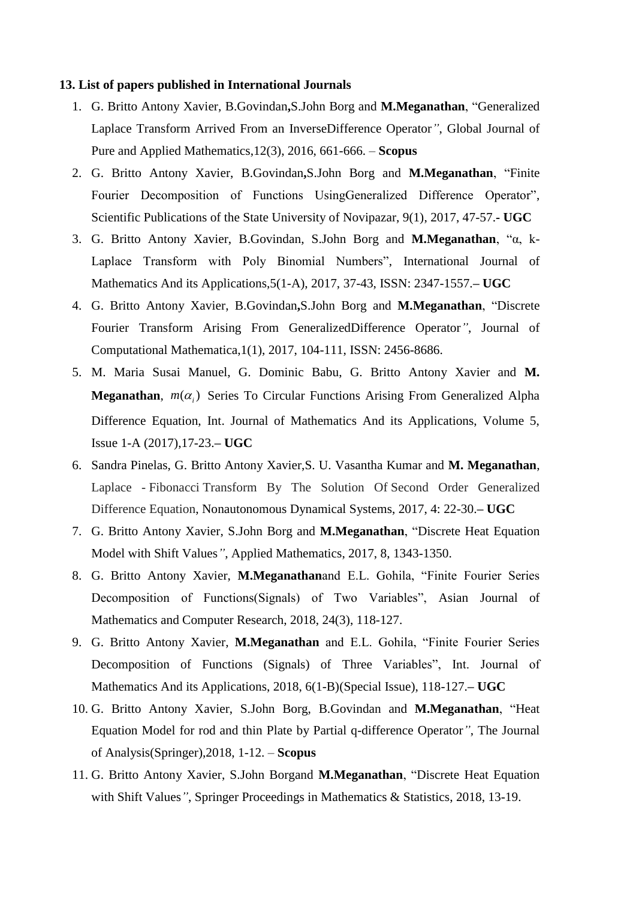#### **13. List of papers published in International Journals**

- 1. G. Britto Antony Xavier, B.Govindan**,**S.John Borg and **M.Meganathan**, "Generalized Laplace Transform Arrived From an InverseDifference Operator*"*, Global Journal of Pure and Applied Mathematics,12(3), 2016, 661-666. – **Scopus**
- 2. G. Britto Antony Xavier, B.Govindan**,**S.John Borg and **M.Meganathan**, "Finite Fourier Decomposition of Functions UsingGeneralized Difference Operator", Scientific Publications of the State University of Novipazar, 9(1), 2017, 47-57.**- UGC**
- 3. G. Britto Antony Xavier, B.Govindan, S.John Borg and **M.Meganathan**, "α, k-Laplace Transform with Poly Binomial Numbers", International Journal of Mathematics And its Applications,5(1-A), 2017, 37-43, ISSN: 2347-1557.**– UGC**
- 4. G. Britto Antony Xavier, B.Govindan**,**S.John Borg and **M.Meganathan**, "Discrete Fourier Transform Arising From GeneralizedDifference Operator*"*, Journal of Computational Mathematica,1(1), 2017, 104-111, ISSN: 2456-8686.
- 5. M. Maria Susai Manuel, G. Dominic Babu, G. Britto Antony Xavier and **M. Meganathan**,  $m(\alpha_i)$  Series To Circular Functions Arising From Generalized Alpha Difference Equation, Int. Journal of Mathematics And its Applications, Volume 5, Issue 1-A (2017),17-23.**– UGC**
- 6. Sandra Pinelas, G. Britto Antony Xavier,S. U. Vasantha Kumar and **M. Meganathan**, Laplace - Fibonacci Transform By The Solution Of Second Order Generalized Difference Equation, Nonautonomous Dynamical Systems, 2017, 4: 22-30.**– UGC**
- 7. G. Britto Antony Xavier, S.John Borg and **M.Meganathan**, "Discrete Heat Equation Model with Shift Values*"*, Applied Mathematics, 2017, 8, 1343-1350.
- 8. G. Britto Antony Xavier, **M.Meganathan**and E.L. Gohila, "Finite Fourier Series Decomposition of Functions(Signals) of Two Variables", Asian Journal of Mathematics and Computer Research, 2018, 24(3), 118-127.
- 9. G. Britto Antony Xavier, **M.Meganathan** and E.L. Gohila, "Finite Fourier Series Decomposition of Functions (Signals) of Three Variables", Int. Journal of Mathematics And its Applications, 2018, 6(1-B)(Special Issue), 118-127.**– UGC**
- 10. G. Britto Antony Xavier, S.John Borg, B.Govindan and **M.Meganathan**, "Heat Equation Model for rod and thin Plate by Partial q-difference Operator*"*, The Journal of Analysis(Springer),2018, 1-12. – **Scopus**
- 11. G. Britto Antony Xavier, S.John Borgand **M.Meganathan**, "Discrete Heat Equation with Shift Values*"*, Springer Proceedings in Mathematics & Statistics, 2018, 13-19.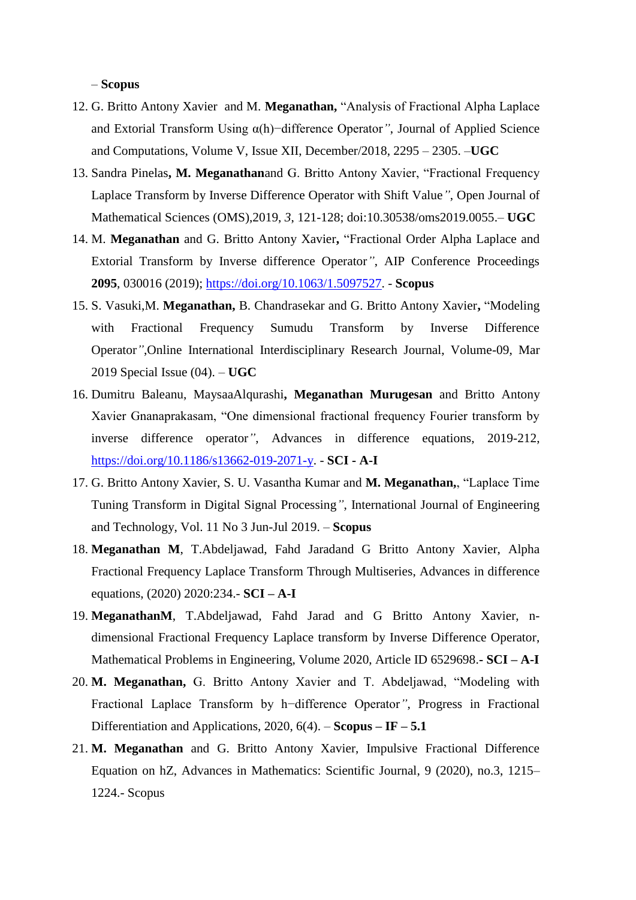#### – **Scopus**

- 12. G. Britto Antony Xavier and M. **Meganathan,** "Analysis of Fractional Alpha Laplace and Extorial Transform Using α(h)−difference Operator*"*, Journal of Applied Science and Computations, Volume V, Issue XII, December/2018, 2295 – 2305. –**UGC**
- 13. Sandra Pinelas**, M. Meganathan**and G. Britto Antony Xavier, "Fractional Frequency Laplace Transform by Inverse Difference Operator with Shift Value*"*, Open Journal of Mathematical Sciences (OMS),2019, *3*, 121-128; doi:10.30538/oms2019.0055.– **UGC**
- 14. M. **Meganathan** and G. Britto Antony Xavier**,** "Fractional Order Alpha Laplace and Extorial Transform by Inverse difference Operator*"*, AIP Conference Proceedings **2095**, 030016 (2019); [https://doi.org/10.1063/1.5097527.](https://doi.org/10.1063/1.5097527) - **Scopus**
- 15. S. Vasuki,M. **Meganathan,** B. Chandrasekar and G. Britto Antony Xavier**,** "Modeling with Fractional Frequency Sumudu Transform by Inverse Difference Operator*"*,Online International Interdisciplinary Research Journal, Volume-09, Mar 2019 Special Issue (04). – **UGC**
- 16. Dumitru Baleanu, MaysaaAlqurashi**, Meganathan Murugesan** and Britto Antony Xavier Gnanaprakasam, "One dimensional fractional frequency Fourier transform by inverse difference operator*"*, Advances in difference equations, 2019-212, [https://doi.org/10.1186/s13662-019-2071-y.](https://doi.org/10.1186/s13662-019-2071-y) - **SCI - A-I**
- 17. G. Britto Antony Xavier, S. U. Vasantha Kumar and **M. Meganathan,**, "Laplace Time Tuning Transform in Digital Signal Processing*"*, International Journal of Engineering and Technology, Vol. 11 No 3 Jun-Jul 2019. – **Scopus**
- 18. **Meganathan M**, T.Abdeljawad, Fahd Jaradand G Britto Antony Xavier, Alpha Fractional Frequency Laplace Transform Through Multiseries, Advances in difference equations, (2020) 2020:234.- **SCI – A-I**
- 19. **MeganathanM**, T.Abdeljawad, Fahd Jarad and G Britto Antony Xavier, ndimensional Fractional Frequency Laplace transform by Inverse Difference Operator, Mathematical Problems in Engineering, Volume 2020, Article ID 6529698.**- SCI – A-I**
- 20. **M. Meganathan,** G. Britto Antony Xavier and T. Abdeljawad, "Modeling with Fractional Laplace Transform by h−difference Operator*"*, Progress in Fractional Differentiation and Applications,  $2020$ ,  $6(4)$ . – **Scopus – IF – 5.1**
- 21. **M. Meganathan** and G. Britto Antony Xavier, Impulsive Fractional Difference Equation on hZ, Advances in Mathematics: Scientific Journal, 9 (2020), no.3, 1215– 1224.- Scopus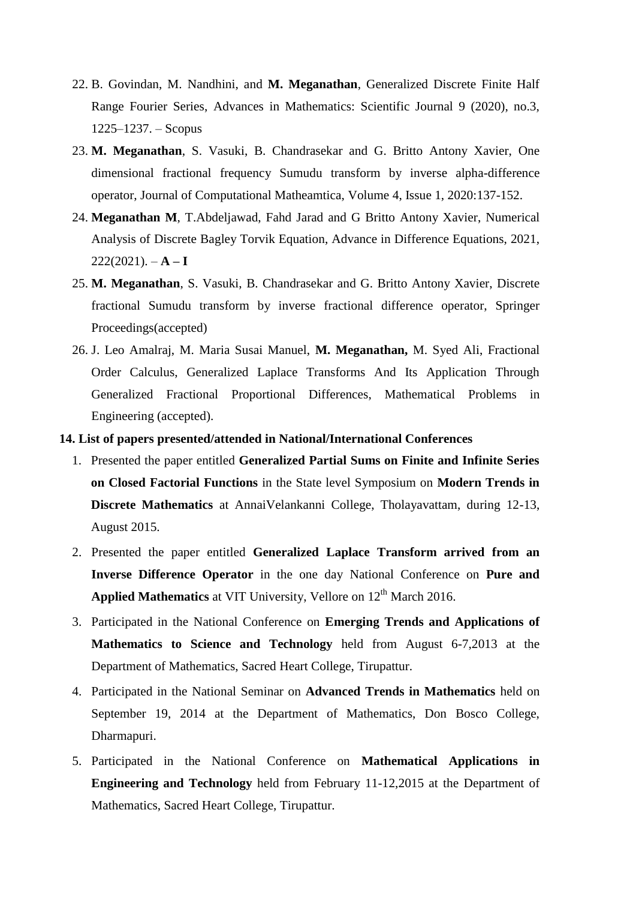- 22. B. Govindan, M. Nandhini, and **M. Meganathan**, Generalized Discrete Finite Half Range Fourier Series, Advances in Mathematics: Scientific Journal 9 (2020), no.3, 1225–1237. – Scopus
- 23. **M. Meganathan**, S. Vasuki, B. Chandrasekar and G. Britto Antony Xavier, One dimensional fractional frequency Sumudu transform by inverse alpha-difference operator, Journal of Computational Matheamtica, Volume 4, Issue 1, 2020:137-152.
- 24. **Meganathan M**, T.Abdeljawad, Fahd Jarad and G Britto Antony Xavier, Numerical Analysis of Discrete Bagley Torvik Equation, Advance in Difference Equations, 2021,  $222(2021)$ .  $- A - I$
- 25. **M. Meganathan**, S. Vasuki, B. Chandrasekar and G. Britto Antony Xavier, Discrete fractional Sumudu transform by inverse fractional difference operator, Springer Proceedings(accepted)
- 26. J. Leo Amalraj, M. Maria Susai Manuel, **M. Meganathan,** M. Syed Ali, Fractional Order Calculus, Generalized Laplace Transforms And Its Application Through Generalized Fractional Proportional Differences, Mathematical Problems in Engineering (accepted).

#### **14. List of papers presented/attended in National/International Conferences**

- 1. Presented the paper entitled **Generalized Partial Sums on Finite and Infinite Series on Closed Factorial Functions** in the State level Symposium on **Modern Trends in Discrete Mathematics** at AnnaiVelankanni College, Tholayavattam, during 12-13, August 2015.
- 2. Presented the paper entitled **Generalized Laplace Transform arrived from an Inverse Difference Operator** in the one day National Conference on **Pure and**  Applied Mathematics at VIT University, Vellore on 12<sup>th</sup> March 2016.
- 3. Participated in the National Conference on **Emerging Trends and Applications of Mathematics to Science and Technology** held from August 6-7,2013 at the Department of Mathematics, Sacred Heart College, Tirupattur.
- 4. Participated in the National Seminar on **Advanced Trends in Mathematics** held on September 19, 2014 at the Department of Mathematics, Don Bosco College, Dharmapuri.
- 5. Participated in the National Conference on **Mathematical Applications in Engineering and Technology** held from February 11-12,2015 at the Department of Mathematics, Sacred Heart College, Tirupattur.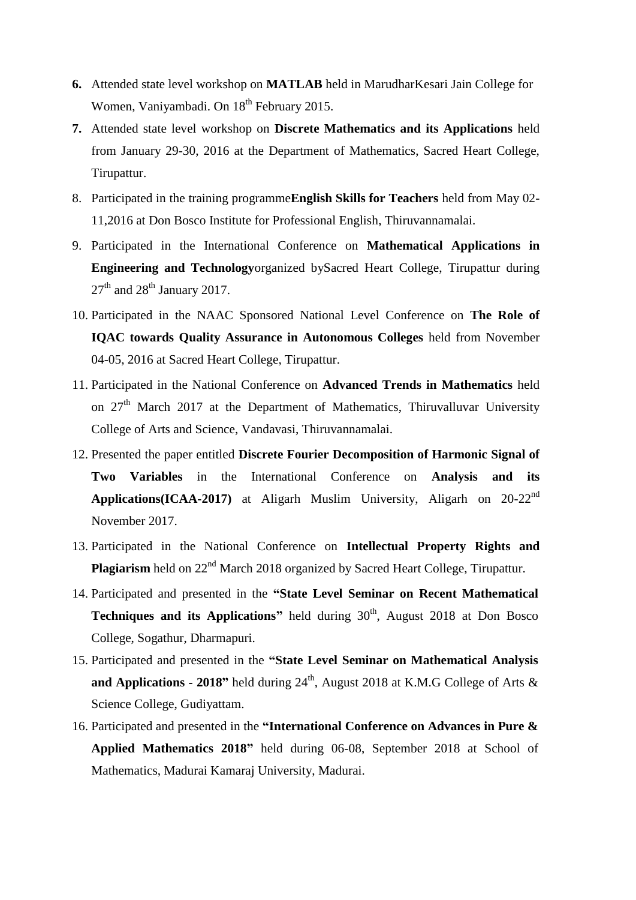- **6.** Attended state level workshop on **MATLAB** held in MarudharKesari Jain College for Women, Vaniyambadi. On 18<sup>th</sup> February 2015.
- **7.** Attended state level workshop on **Discrete Mathematics and its Applications** held from January 29-30, 2016 at the Department of Mathematics, Sacred Heart College, Tirupattur.
- 8. Participated in the training programme**English Skills for Teachers** held from May 02- 11,2016 at Don Bosco Institute for Professional English, Thiruvannamalai.
- 9. Participated in the International Conference on **Mathematical Applications in Engineering and Technology**organized bySacred Heart College, Tirupattur during  $27<sup>th</sup>$  and  $28<sup>th</sup>$  January 2017.
- 10. Participated in the NAAC Sponsored National Level Conference on **The Role of IQAC towards Quality Assurance in Autonomous Colleges** held from November 04-05, 2016 at Sacred Heart College, Tirupattur.
- 11. Participated in the National Conference on **Advanced Trends in Mathematics** held on  $27<sup>th</sup>$  March 2017 at the Department of Mathematics, Thiruvalluvar University College of Arts and Science, Vandavasi, Thiruvannamalai.
- 12. Presented the paper entitled **Discrete Fourier Decomposition of Harmonic Signal of Two Variables** in the International Conference on **Analysis and its Applications(ICAA-2017)** at Aligarh Muslim University, Aligarh on 20-22nd November 2017.
- 13. Participated in the National Conference on **Intellectual Property Rights and Plagiarism** held on 22<sup>nd</sup> March 2018 organized by Sacred Heart College, Tirupattur.
- 14. Participated and presented in the **"State Level Seminar on Recent Mathematical Techniques and its Applications**" held during 30<sup>th</sup>, August 2018 at Don Bosco College, Sogathur, Dharmapuri.
- 15. Participated and presented in the **"State Level Seminar on Mathematical Analysis and Applications - 2018"** held during 24<sup>th</sup>, August 2018 at K.M.G College of Arts & Science College, Gudiyattam.
- 16. Participated and presented in the **"International Conference on Advances in Pure & Applied Mathematics 2018"** held during 06-08, September 2018 at School of Mathematics, Madurai Kamaraj University, Madurai.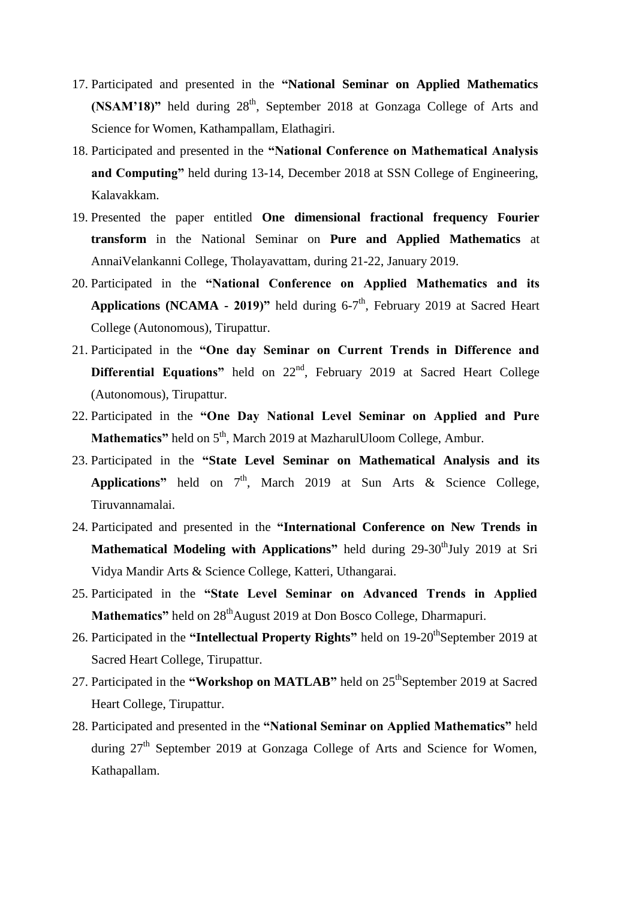- 17. Participated and presented in the **"National Seminar on Applied Mathematics (NSAM'18)**" held during 28<sup>th</sup>, September 2018 at Gonzaga College of Arts and Science for Women, Kathampallam, Elathagiri.
- 18. Participated and presented in the **"National Conference on Mathematical Analysis and Computing"** held during 13-14, December 2018 at SSN College of Engineering, Kalavakkam.
- 19. Presented the paper entitled **One dimensional fractional frequency Fourier transform** in the National Seminar on **Pure and Applied Mathematics** at AnnaiVelankanni College, Tholayavattam, during 21-22, January 2019.
- 20. Participated in the **"National Conference on Applied Mathematics and its Applications (NCAMA - 2019)"** held during 6-7<sup>th</sup>, February 2019 at Sacred Heart College (Autonomous), Tirupattur.
- 21. Participated in the **"One day Seminar on Current Trends in Difference and Differential Equations"** held on 22<sup>nd</sup>, February 2019 at Sacred Heart College (Autonomous), Tirupattur.
- 22. Participated in the **"One Day National Level Seminar on Applied and Pure Mathematics"** held on 5<sup>th</sup>, March 2019 at MazharulUloom College, Ambur.
- 23. Participated in the **"State Level Seminar on Mathematical Analysis and its Applications"** held on  $7<sup>th</sup>$ , March 2019 at Sun Arts & Science College, Tiruvannamalai.
- 24. Participated and presented in the **"International Conference on New Trends in Mathematical Modeling with Applications"** held during 29-30<sup>th</sup>July 2019 at Sri Vidya Mandir Arts & Science College, Katteri, Uthangarai.
- 25. Participated in the **"State Level Seminar on Advanced Trends in Applied Mathematics"** held on 28<sup>th</sup>August 2019 at Don Bosco College, Dharmapuri.
- 26. Participated in the **"Intellectual Property Rights"** held on 19-20<sup>th</sup>September 2019 at Sacred Heart College, Tirupattur.
- 27. Participated in the "Workshop on MATLAB" held on 25<sup>th</sup>September 2019 at Sacred Heart College, Tirupattur.
- 28. Participated and presented in the **"National Seminar on Applied Mathematics"** held during  $27<sup>th</sup>$  September 2019 at Gonzaga College of Arts and Science for Women, Kathapallam.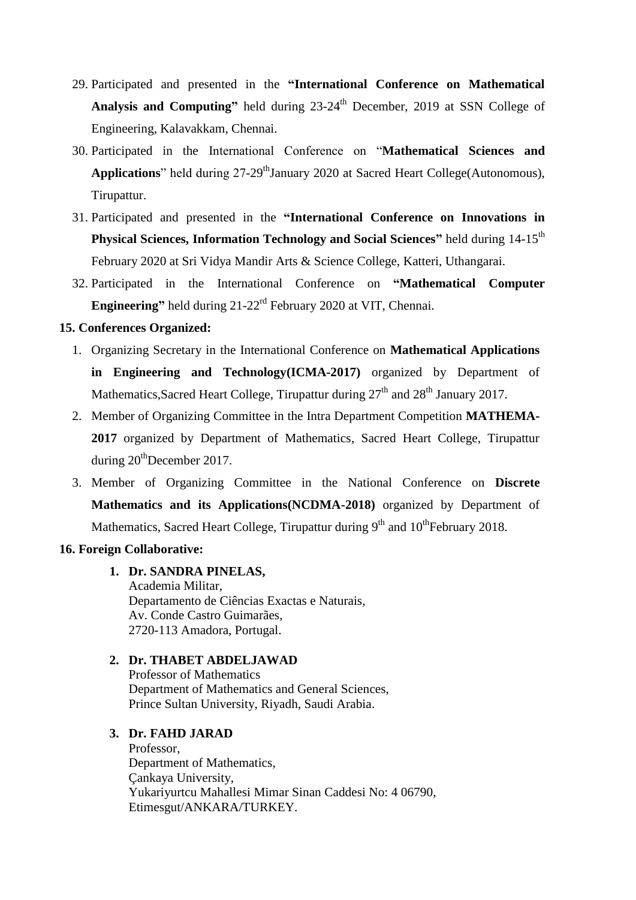- 29. Participated and presented in the **"International Conference on Mathematical Analysis and Computing"** held during 23-24<sup>th</sup> December, 2019 at SSN College of Engineering, Kalavakkam, Chennai.
- 30. Participated in the International Conference on "**Mathematical Sciences and**  Applications" held during 27-29<sup>th</sup>January 2020 at Sacred Heart College(Autonomous), Tirupattur.
- 31. Participated and presented in the **"International Conference on Innovations in Physical Sciences, Information Technology and Social Sciences"** held during 14-15<sup>th</sup> February 2020 at Sri Vidya Mandir Arts & Science College, Katteri, Uthangarai.
- 32. Participated in the International Conference on **"Mathematical Computer Engineering"** held during 21-22rd February 2020 at VIT, Chennai.

## **15. Conferences Organized:**

- 1. Organizing Secretary in the International Conference on **Mathematical Applications in Engineering and Technology(ICMA-2017)** organized by Department of Mathematics, Sacred Heart College, Tirupattur during  $27<sup>th</sup>$  and  $28<sup>th</sup>$  January 2017.
- 2. Member of Organizing Committee in the Intra Department Competition **MATHEMA-2017** organized by Department of Mathematics, Sacred Heart College, Tirupattur during  $20<sup>th</sup>$ December 2017.
- 3. Member of Organizing Committee in the National Conference on **Discrete Mathematics and its Applications(NCDMA-2018)** organized by Department of Mathematics, Sacred Heart College, Tirupattur during  $9<sup>th</sup>$  and  $10<sup>th</sup>$ February 2018.

### **16. Foreign Collaborative:**

## **1. Dr. SANDRA PINELAS,**

Academia Militar, Departamento de Ciências Exactas e Naturais, Av. Conde Castro Guimarães, 2720-113 Amadora, Portugal.

## **2. Dr. THABET ABDELJAWAD**

Professor of Mathematics Department of Mathematics and General Sciences, Prince Sultan University, Riyadh, Saudi Arabia.

# **3. Dr. FAHD JARAD**

Professor, Department of Mathematics, Çankaya University, Yukariyurtcu Mahallesi Mimar Sinan Caddesi No: 4 06790, Etimesgut/ANKARA/TURKEY.